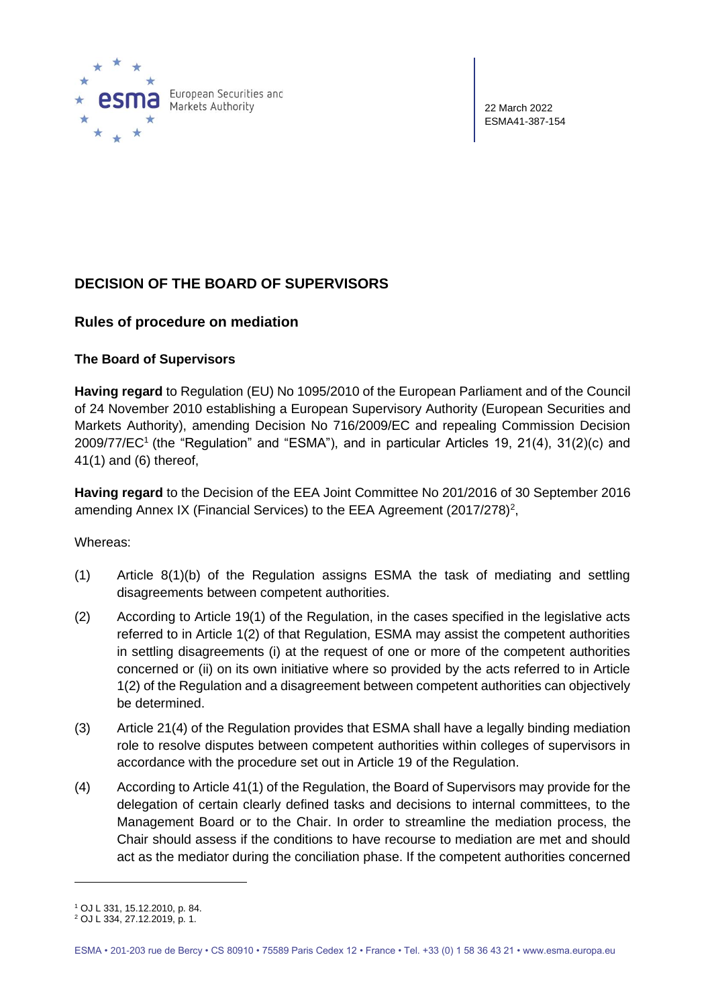

European Securities and Markets Authority

22 March 2022 ESMA41-387-154

# **DECISION OF THE BOARD OF SUPERVISORS**

## **Rules of procedure on mediation**

## **The Board of Supervisors**

**Having regard** to Regulation (EU) No 1095/2010 of the European Parliament and of the Council of 24 November 2010 establishing a European Supervisory Authority (European Securities and Markets Authority), amending Decision No 716/2009/EC and repealing Commission Decision 2009/77/EC<sup>1</sup> (the "Regulation" and "ESMA"), and in particular Articles 19, 21(4), 31(2)(c) and 41(1) and (6) thereof,

**Having regard** to the Decision of the EEA Joint Committee No 201/2016 of 30 September 2016 amending Annex IX (Financial Services) to the EEA Agreement (2017/278)<sup>2</sup>,

### Whereas:

- (1) Article 8(1)(b) of the Regulation assigns ESMA the task of mediating and settling disagreements between competent authorities.
- (2) According to Article 19(1) of the Regulation, in the cases specified in the legislative acts referred to in Article 1(2) of that Regulation, ESMA may assist the competent authorities in settling disagreements (i) at the request of one or more of the competent authorities concerned or (ii) on its own initiative where so provided by the acts referred to in Article 1(2) of the Regulation and a disagreement between competent authorities can objectively be determined.
- (3) Article 21(4) of the Regulation provides that ESMA shall have a legally binding mediation role to resolve disputes between competent authorities within colleges of supervisors in accordance with the procedure set out in Article 19 of the Regulation.
- (4) According to Article 41(1) of the Regulation, the Board of Supervisors may provide for the delegation of certain clearly defined tasks and decisions to internal committees, to the Management Board or to the Chair. In order to streamline the mediation process, the Chair should assess if the conditions to have recourse to mediation are met and should act as the mediator during the conciliation phase. If the competent authorities concerned

<sup>1</sup> OJ L 331, 15.12.2010, p. 84.

<sup>2</sup> OJ L 334, 27.12.2019, p. 1.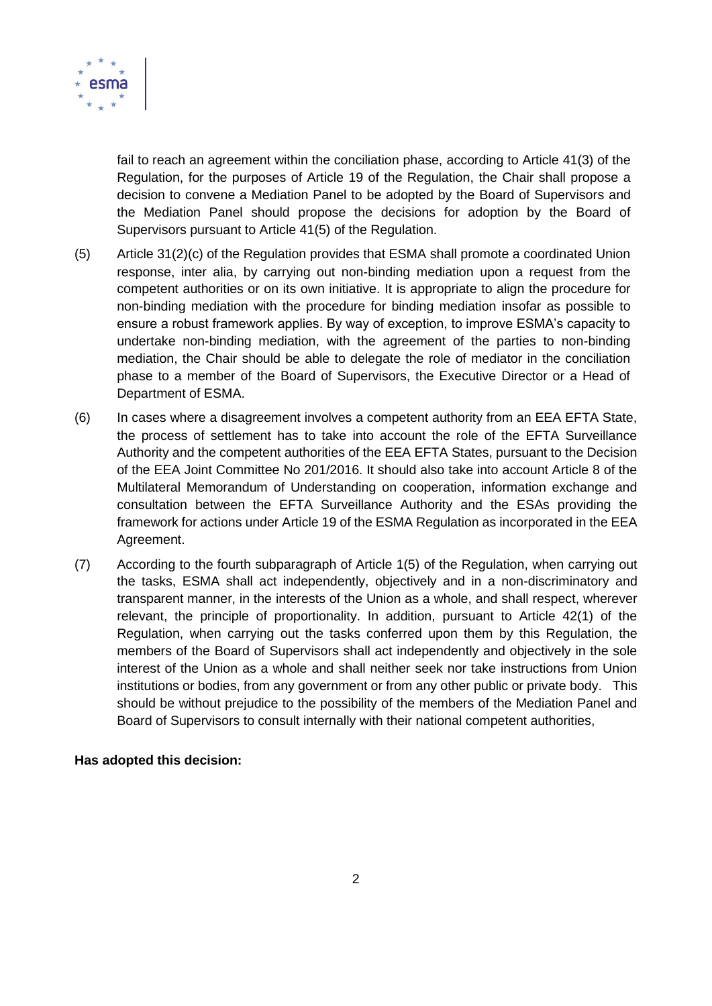

fail to reach an agreement within the conciliation phase, according to Article 41(3) of the Regulation, for the purposes of Article 19 of the Regulation, the Chair shall propose a decision to convene a Mediation Panel to be adopted by the Board of Supervisors and the Mediation Panel should propose the decisions for adoption by the Board of Supervisors pursuant to Article 41(5) of the Regulation.

- (5) Article 31(2)(c) of the Regulation provides that ESMA shall promote a coordinated Union response, inter alia, by carrying out non-binding mediation upon a request from the competent authorities or on its own initiative. It is appropriate to align the procedure for non-binding mediation with the procedure for binding mediation insofar as possible to ensure a robust framework applies. By way of exception, to improve ESMA's capacity to undertake non-binding mediation, with the agreement of the parties to non-binding mediation, the Chair should be able to delegate the role of mediator in the conciliation phase to a member of the Board of Supervisors, the Executive Director or a Head of Department of ESMA.
- (6) In cases where a disagreement involves a competent authority from an EEA EFTA State, the process of settlement has to take into account the role of the EFTA Surveillance Authority and the competent authorities of the EEA EFTA States, pursuant to the Decision of the EEA Joint Committee No 201/2016. It should also take into account Article 8 of the Multilateral Memorandum of Understanding on cooperation, information exchange and consultation between the EFTA Surveillance Authority and the ESAs providing the framework for actions under Article 19 of the ESMA Regulation as incorporated in the EEA Agreement.
- (7) According to the fourth subparagraph of Article 1(5) of the Regulation, when carrying out the tasks, ESMA shall act independently, objectively and in a non-discriminatory and transparent manner, in the interests of the Union as a whole, and shall respect, wherever relevant, the principle of proportionality. In addition, pursuant to Article 42(1) of the Regulation, when carrying out the tasks conferred upon them by this Regulation, the members of the Board of Supervisors shall act independently and objectively in the sole interest of the Union as a whole and shall neither seek nor take instructions from Union institutions or bodies, from any government or from any other public or private body. This should be without prejudice to the possibility of the members of the Mediation Panel and Board of Supervisors to consult internally with their national competent authorities,

### **Has adopted this decision:**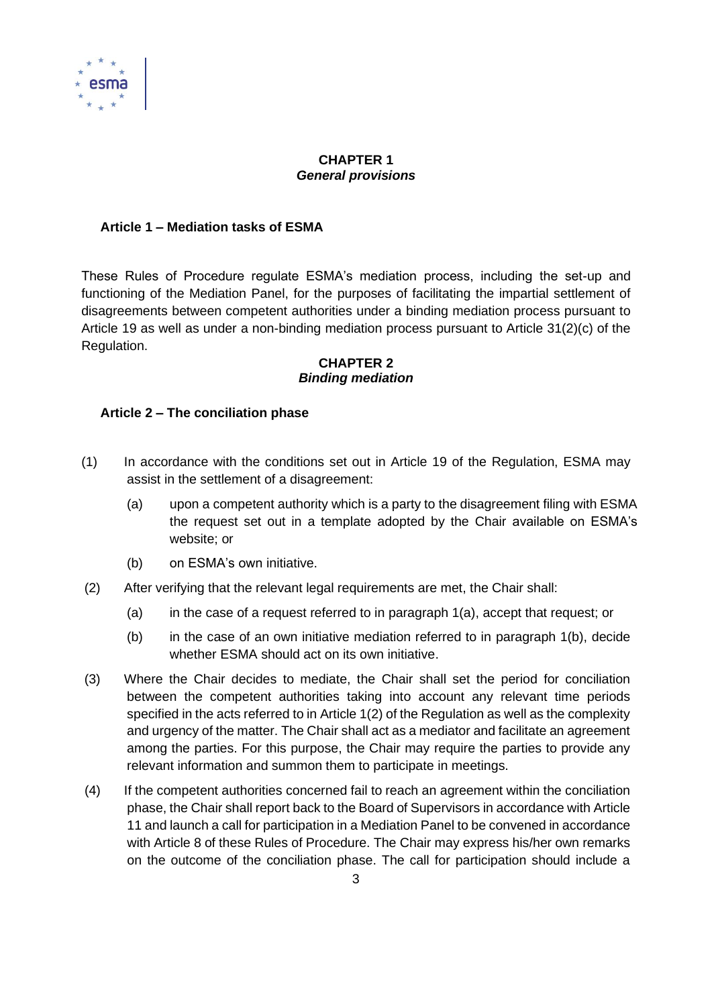

### **CHAPTER 1** *General provisions*

### **Article 1 – Mediation tasks of ESMA**

These Rules of Procedure regulate ESMA's mediation process, including the set-up and functioning of the Mediation Panel, for the purposes of facilitating the impartial settlement of disagreements between competent authorities under a binding mediation process pursuant to Article 19 as well as under a non-binding mediation process pursuant to Article 31(2)(c) of the Regulation.

#### **CHAPTER 2** *Binding mediation*

### **Article 2 – The conciliation phase**

- (1) In accordance with the conditions set out in Article 19 of the Regulation, ESMA may assist in the settlement of a disagreement:
	- (a) upon a competent authority which is a party to the disagreement filing with ESMA the request set out in a template adopted by the Chair available on ESMA's website; or
	- (b) on ESMA's own initiative.
- (2) After verifying that the relevant legal requirements are met, the Chair shall:
	- (a) in the case of a request referred to in paragraph 1(a), accept that request; or
	- $(b)$  in the case of an own initiative mediation referred to in paragraph 1(b), decide whether ESMA should act on its own initiative.
- (3) Where the Chair decides to mediate, the Chair shall set the period for conciliation between the competent authorities taking into account any relevant time periods specified in the acts referred to in Article 1(2) of the Regulation as well as the complexity and urgency of the matter. The Chair shall act as a mediator and facilitate an agreement among the parties. For this purpose, the Chair may require the parties to provide any relevant information and summon them to participate in meetings.
- (4) If the competent authorities concerned fail to reach an agreement within the conciliation phase, the Chair shall report back to the Board of Supervisors in accordance with Article 11 and launch a call for participation in a Mediation Panel to be convened in accordance with Article 8 of these Rules of Procedure. The Chair may express his/her own remarks on the outcome of the conciliation phase. The call for participation should include a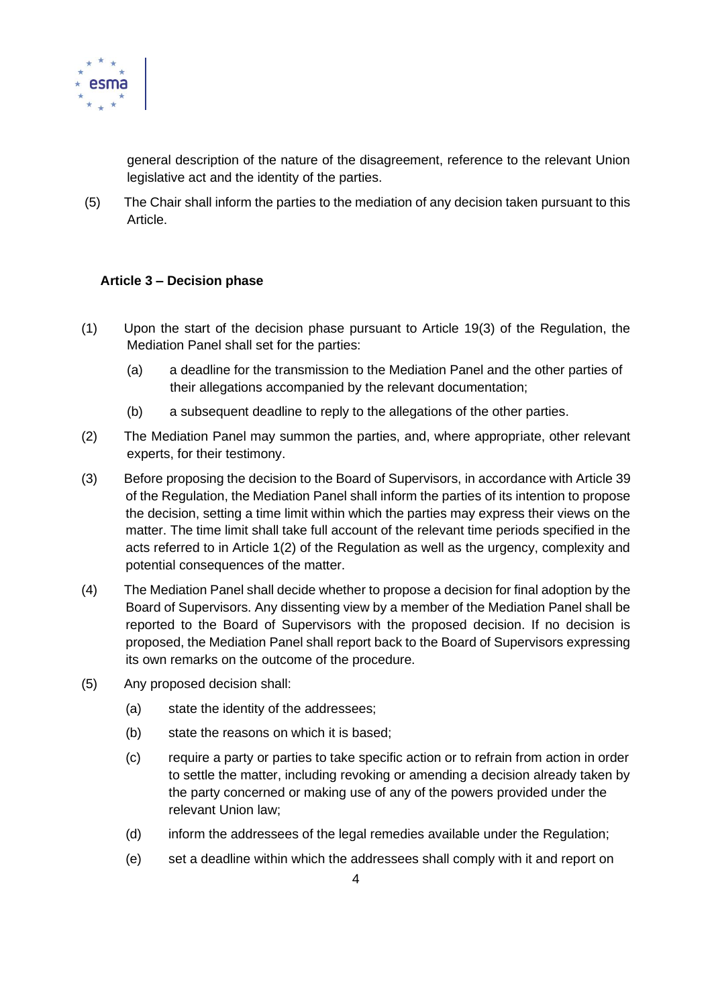

general description of the nature of the disagreement, reference to the relevant Union legislative act and the identity of the parties.

(5) The Chair shall inform the parties to the mediation of any decision taken pursuant to this Article.

### **Article 3 – Decision phase**

- (1) Upon the start of the decision phase pursuant to Article 19(3) of the Regulation, the Mediation Panel shall set for the parties:
	- (a) a deadline for the transmission to the Mediation Panel and the other parties of their allegations accompanied by the relevant documentation;
	- (b) a subsequent deadline to reply to the allegations of the other parties.
- (2) The Mediation Panel may summon the parties, and, where appropriate, other relevant experts, for their testimony.
- (3) Before proposing the decision to the Board of Supervisors, in accordance with Article 39 of the Regulation, the Mediation Panel shall inform the parties of its intention to propose the decision, setting a time limit within which the parties may express their views on the matter. The time limit shall take full account of the relevant time periods specified in the acts referred to in Article 1(2) of the Regulation as well as the urgency, complexity and potential consequences of the matter.
- (4) The Mediation Panel shall decide whether to propose a decision for final adoption by the Board of Supervisors. Any dissenting view by a member of the Mediation Panel shall be reported to the Board of Supervisors with the proposed decision. If no decision is proposed, the Mediation Panel shall report back to the Board of Supervisors expressing its own remarks on the outcome of the procedure.
- (5) Any proposed decision shall:
	- (a) state the identity of the addressees;
	- (b) state the reasons on which it is based;
	- (c) require a party or parties to take specific action or to refrain from action in order to settle the matter, including revoking or amending a decision already taken by the party concerned or making use of any of the powers provided under the relevant Union law;
	- (d) inform the addressees of the legal remedies available under the Regulation;
	- (e) set a deadline within which the addressees shall comply with it and report on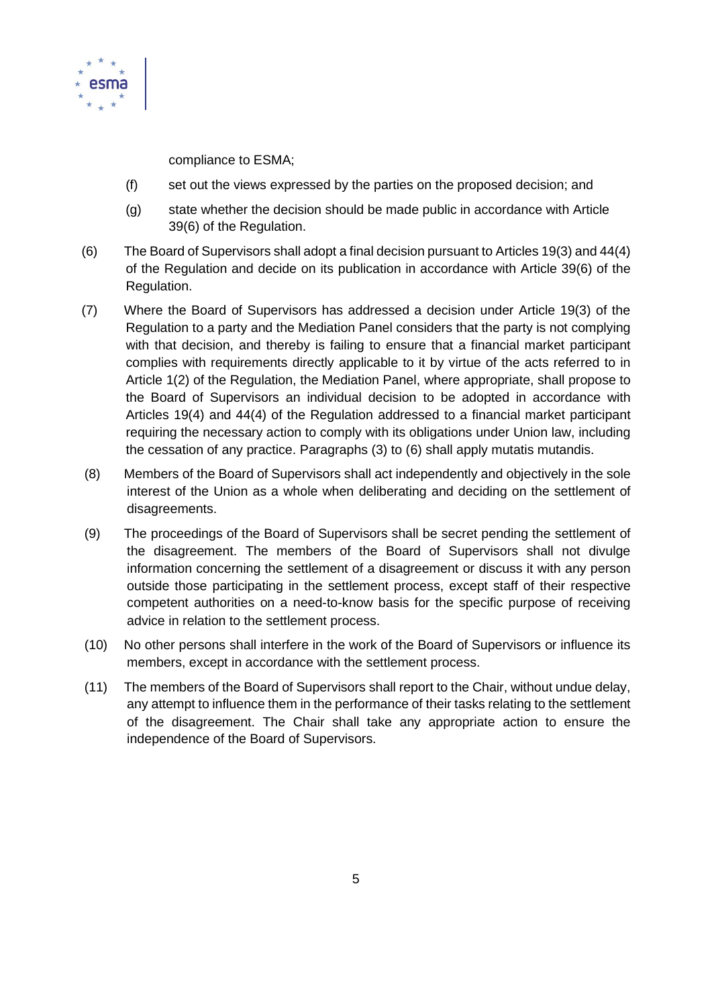

compliance to ESMA;

- (f) set out the views expressed by the parties on the proposed decision; and
- (g) state whether the decision should be made public in accordance with Article 39(6) of the Regulation.
- (6) The Board of Supervisors shall adopt a final decision pursuant to Articles 19(3) and 44(4) of the Regulation and decide on its publication in accordance with Article 39(6) of the Regulation.
- (7) Where the Board of Supervisors has addressed a decision under Article 19(3) of the Regulation to a party and the Mediation Panel considers that the party is not complying with that decision, and thereby is failing to ensure that a financial market participant complies with requirements directly applicable to it by virtue of the acts referred to in Article 1(2) of the Regulation, the Mediation Panel, where appropriate, shall propose to the Board of Supervisors an individual decision to be adopted in accordance with Articles 19(4) and 44(4) of the Regulation addressed to a financial market participant requiring the necessary action to comply with its obligations under Union law, including the cessation of any practice. Paragraphs (3) to (6) shall apply mutatis mutandis.
- (8) Members of the Board of Supervisors shall act independently and objectively in the sole interest of the Union as a whole when deliberating and deciding on the settlement of disagreements.
- (9) The proceedings of the Board of Supervisors shall be secret pending the settlement of the disagreement. The members of the Board of Supervisors shall not divulge information concerning the settlement of a disagreement or discuss it with any person outside those participating in the settlement process, except staff of their respective competent authorities on a need-to-know basis for the specific purpose of receiving advice in relation to the settlement process.
- (10) No other persons shall interfere in the work of the Board of Supervisors or influence its members, except in accordance with the settlement process.
- (11) The members of the Board of Supervisors shall report to the Chair, without undue delay, any attempt to influence them in the performance of their tasks relating to the settlement of the disagreement. The Chair shall take any appropriate action to ensure the independence of the Board of Supervisors.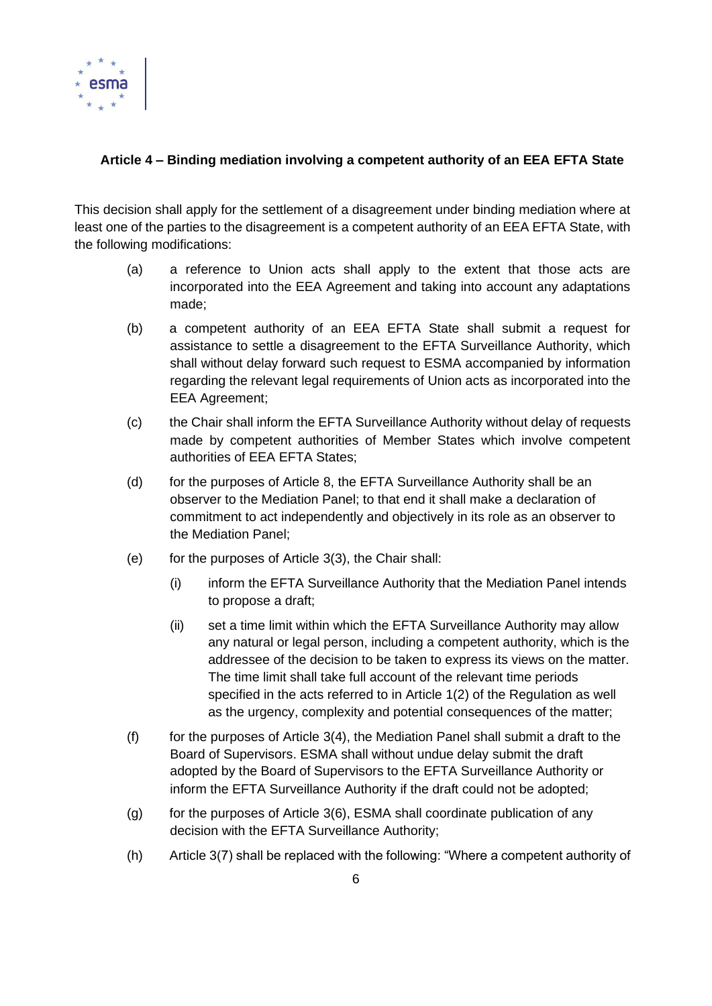

## **Article 4 – Binding mediation involving a competent authority of an EEA EFTA State**

This decision shall apply for the settlement of a disagreement under binding mediation where at least one of the parties to the disagreement is a competent authority of an EEA EFTA State, with the following modifications:

- (a) a reference to Union acts shall apply to the extent that those acts are incorporated into the EEA Agreement and taking into account any adaptations made;
- (b) a competent authority of an EEA EFTA State shall submit a request for assistance to settle a disagreement to the EFTA Surveillance Authority, which shall without delay forward such request to ESMA accompanied by information regarding the relevant legal requirements of Union acts as incorporated into the EEA Agreement;
- (c) the Chair shall inform the EFTA Surveillance Authority without delay of requests made by competent authorities of Member States which involve competent authorities of EEA EFTA States;
- (d) for the purposes of Article 8, the EFTA Surveillance Authority shall be an observer to the Mediation Panel; to that end it shall make a declaration of commitment to act independently and objectively in its role as an observer to the Mediation Panel;
- (e) for the purposes of Article 3(3), the Chair shall:
	- (i) inform the EFTA Surveillance Authority that the Mediation Panel intends to propose a draft;
	- (ii) set a time limit within which the EFTA Surveillance Authority may allow any natural or legal person, including a competent authority, which is the addressee of the decision to be taken to express its views on the matter. The time limit shall take full account of the relevant time periods specified in the acts referred to in Article 1(2) of the Regulation as well as the urgency, complexity and potential consequences of the matter;
- $(f)$  for the purposes of Article 3(4), the Mediation Panel shall submit a draft to the Board of Supervisors. ESMA shall without undue delay submit the draft adopted by the Board of Supervisors to the EFTA Surveillance Authority or inform the EFTA Surveillance Authority if the draft could not be adopted;
- (g) for the purposes of Article 3(6), ESMA shall coordinate publication of any decision with the EFTA Surveillance Authority;
- (h) Article 3(7) shall be replaced with the following: "Where a competent authority of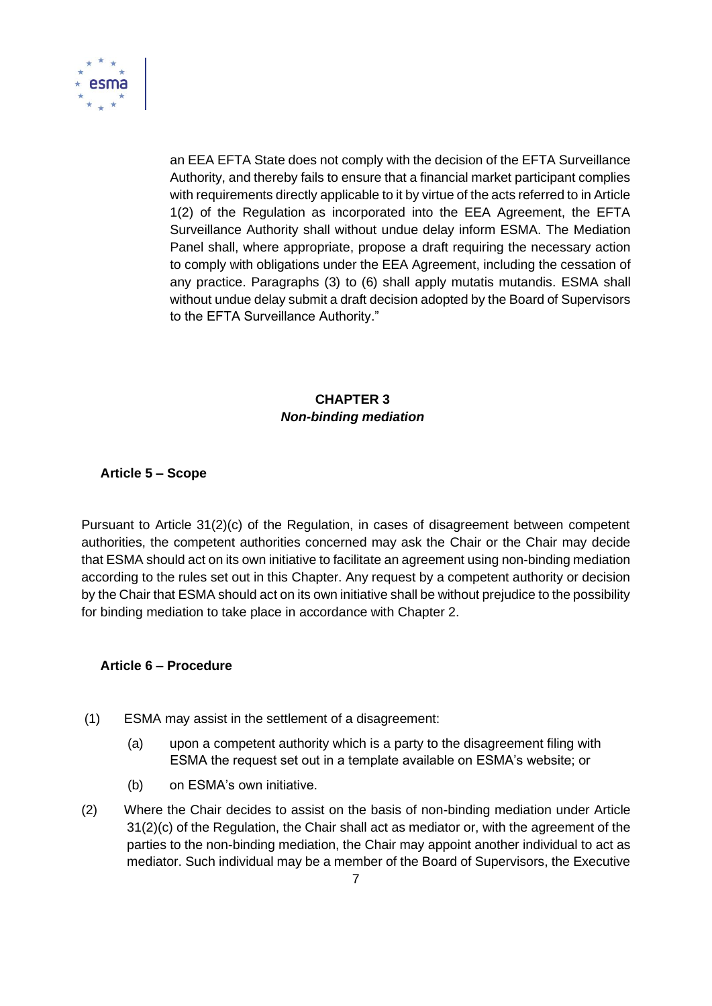

an EEA EFTA State does not comply with the decision of the EFTA Surveillance Authority, and thereby fails to ensure that a financial market participant complies with requirements directly applicable to it by virtue of the acts referred to in Article 1(2) of the Regulation as incorporated into the EEA Agreement, the EFTA Surveillance Authority shall without undue delay inform ESMA. The Mediation Panel shall, where appropriate, propose a draft requiring the necessary action to comply with obligations under the EEA Agreement, including the cessation of any practice. Paragraphs (3) to (6) shall apply mutatis mutandis. ESMA shall without undue delay submit a draft decision adopted by the Board of Supervisors to the EFTA Surveillance Authority."

## **CHAPTER 3** *Non-binding mediation*

### **Article 5 – Scope**

Pursuant to Article 31(2)(c) of the Regulation, in cases of disagreement between competent authorities, the competent authorities concerned may ask the Chair or the Chair may decide that ESMA should act on its own initiative to facilitate an agreement using non-binding mediation according to the rules set out in this Chapter. Any request by a competent authority or decision by the Chair that ESMA should act on its own initiative shall be without prejudice to the possibility for binding mediation to take place in accordance with Chapter 2.

### **Article 6 – Procedure**

- (1) ESMA may assist in the settlement of a disagreement:
	- (a) upon a competent authority which is a party to the disagreement filing with ESMA the request set out in a template available on ESMA's website; or
	- (b) on ESMA's own initiative.
- (2) Where the Chair decides to assist on the basis of non-binding mediation under Article 31(2)(c) of the Regulation, the Chair shall act as mediator or, with the agreement of the parties to the non-binding mediation, the Chair may appoint another individual to act as mediator. Such individual may be a member of the Board of Supervisors, the Executive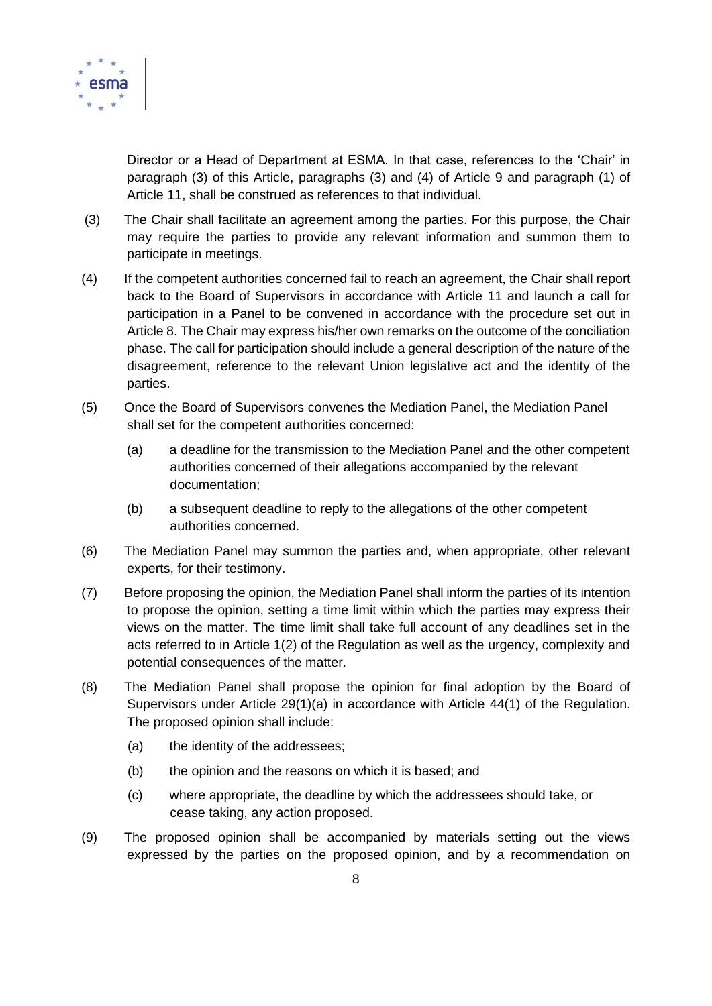

Director or a Head of Department at ESMA. In that case, references to the 'Chair' in paragraph (3) of this Article, paragraphs (3) and (4) of Article 9 and paragraph (1) of Article 11, shall be construed as references to that individual.

- (3) The Chair shall facilitate an agreement among the parties. For this purpose, the Chair may require the parties to provide any relevant information and summon them to participate in meetings.
- (4) If the competent authorities concerned fail to reach an agreement, the Chair shall report back to the Board of Supervisors in accordance with Article 11 and launch a call for participation in a Panel to be convened in accordance with the procedure set out in Article 8. The Chair may express his/her own remarks on the outcome of the conciliation phase. The call for participation should include a general description of the nature of the disagreement, reference to the relevant Union legislative act and the identity of the parties.
- (5) Once the Board of Supervisors convenes the Mediation Panel, the Mediation Panel shall set for the competent authorities concerned:
	- (a) a deadline for the transmission to the Mediation Panel and the other competent authorities concerned of their allegations accompanied by the relevant documentation;
	- (b) a subsequent deadline to reply to the allegations of the other competent authorities concerned.
- (6) The Mediation Panel may summon the parties and, when appropriate, other relevant experts, for their testimony.
- (7) Before proposing the opinion, the Mediation Panel shall inform the parties of its intention to propose the opinion, setting a time limit within which the parties may express their views on the matter. The time limit shall take full account of any deadlines set in the acts referred to in Article 1(2) of the Regulation as well as the urgency, complexity and potential consequences of the matter.
- (8) The Mediation Panel shall propose the opinion for final adoption by the Board of Supervisors under Article 29(1)(a) in accordance with Article 44(1) of the Regulation. The proposed opinion shall include:
	- (a) the identity of the addressees;
	- (b) the opinion and the reasons on which it is based; and
	- (c) where appropriate, the deadline by which the addressees should take, or cease taking, any action proposed.
- (9) The proposed opinion shall be accompanied by materials setting out the views expressed by the parties on the proposed opinion, and by a recommendation on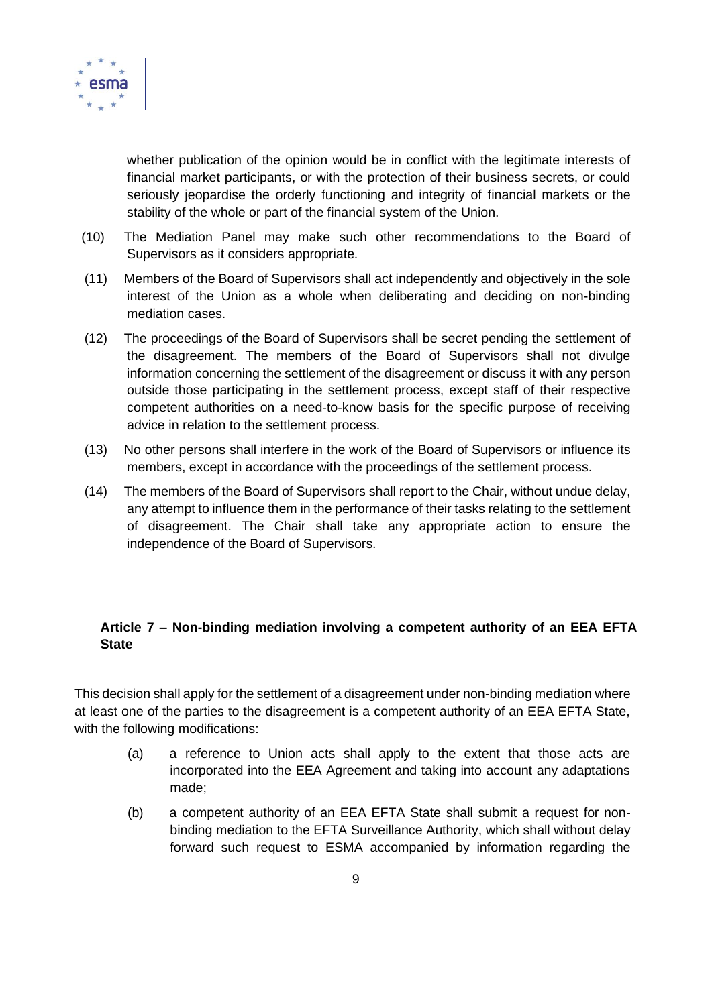

whether publication of the opinion would be in conflict with the legitimate interests of financial market participants, or with the protection of their business secrets, or could seriously jeopardise the orderly functioning and integrity of financial markets or the stability of the whole or part of the financial system of the Union.

- (10) The Mediation Panel may make such other recommendations to the Board of Supervisors as it considers appropriate.
- (11) Members of the Board of Supervisors shall act independently and objectively in the sole interest of the Union as a whole when deliberating and deciding on non-binding mediation cases.
- (12) The proceedings of the Board of Supervisors shall be secret pending the settlement of the disagreement. The members of the Board of Supervisors shall not divulge information concerning the settlement of the disagreement or discuss it with any person outside those participating in the settlement process, except staff of their respective competent authorities on a need-to-know basis for the specific purpose of receiving advice in relation to the settlement process.
- (13) No other persons shall interfere in the work of the Board of Supervisors or influence its members, except in accordance with the proceedings of the settlement process.
- (14) The members of the Board of Supervisors shall report to the Chair, without undue delay, any attempt to influence them in the performance of their tasks relating to the settlement of disagreement. The Chair shall take any appropriate action to ensure the independence of the Board of Supervisors.

## **Article 7 – Non-binding mediation involving a competent authority of an EEA EFTA State**

This decision shall apply for the settlement of a disagreement under non-binding mediation where at least one of the parties to the disagreement is a competent authority of an EEA EFTA State, with the following modifications:

- (a) a reference to Union acts shall apply to the extent that those acts are incorporated into the EEA Agreement and taking into account any adaptations made;
- (b) a competent authority of an EEA EFTA State shall submit a request for nonbinding mediation to the EFTA Surveillance Authority, which shall without delay forward such request to ESMA accompanied by information regarding the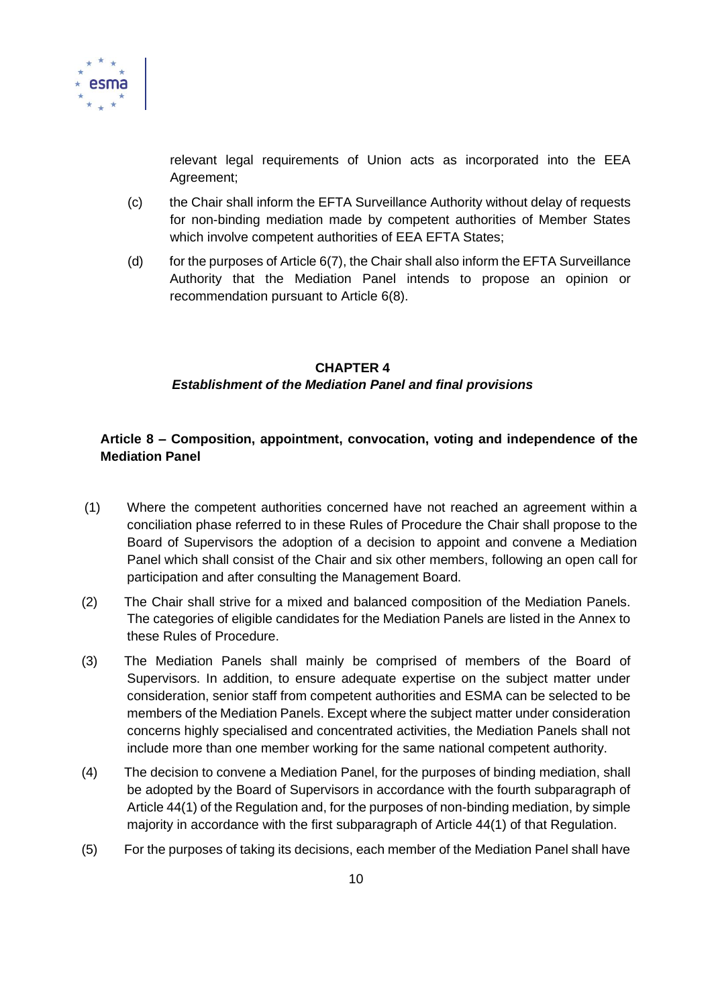

relevant legal requirements of Union acts as incorporated into the EEA Agreement;

- (c) the Chair shall inform the EFTA Surveillance Authority without delay of requests for non-binding mediation made by competent authorities of Member States which involve competent authorities of EEA EFTA States;
- (d) for the purposes of Article  $6(7)$ , the Chair shall also inform the EFTA Surveillance Authority that the Mediation Panel intends to propose an opinion or recommendation pursuant to Article 6(8).

## **CHAPTER 4** *Establishment of the Mediation Panel and final provisions*

## **Article 8 – Composition, appointment, convocation, voting and independence of the Mediation Panel**

- (1) Where the competent authorities concerned have not reached an agreement within a conciliation phase referred to in these Rules of Procedure the Chair shall propose to the Board of Supervisors the adoption of a decision to appoint and convene a Mediation Panel which shall consist of the Chair and six other members, following an open call for participation and after consulting the Management Board.
- (2) The Chair shall strive for a mixed and balanced composition of the Mediation Panels. The categories of eligible candidates for the Mediation Panels are listed in the Annex to these Rules of Procedure.
- (3) The Mediation Panels shall mainly be comprised of members of the Board of Supervisors. In addition, to ensure adequate expertise on the subject matter under consideration, senior staff from competent authorities and ESMA can be selected to be members of the Mediation Panels. Except where the subject matter under consideration concerns highly specialised and concentrated activities, the Mediation Panels shall not include more than one member working for the same national competent authority.
- (4) The decision to convene a Mediation Panel, for the purposes of binding mediation, shall be adopted by the Board of Supervisors in accordance with the fourth subparagraph of Article 44(1) of the Regulation and, for the purposes of non-binding mediation, by simple majority in accordance with the first subparagraph of Article 44(1) of that Regulation.
- (5) For the purposes of taking its decisions, each member of the Mediation Panel shall have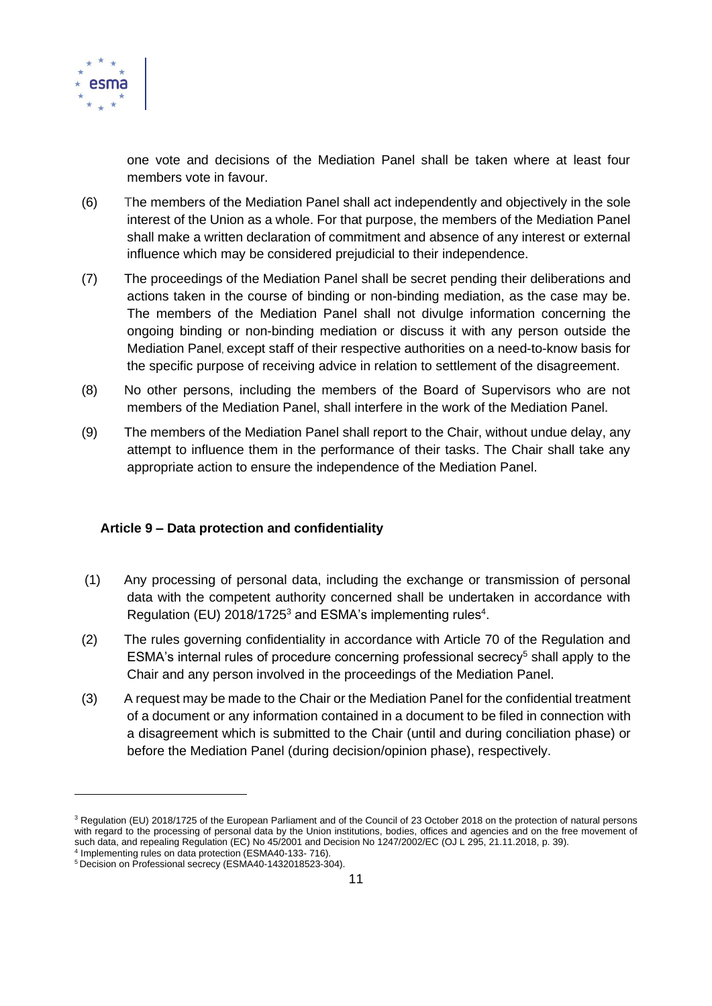

one vote and decisions of the Mediation Panel shall be taken where at least four members vote in favour.

- (6) The members of the Mediation Panel shall act independently and objectively in the sole interest of the Union as a whole. For that purpose, the members of the Mediation Panel shall make a written declaration of commitment and absence of any interest or external influence which may be considered prejudicial to their independence.
- (7) The proceedings of the Mediation Panel shall be secret pending their deliberations and actions taken in the course of binding or non-binding mediation, as the case may be. The members of the Mediation Panel shall not divulge information concerning the ongoing binding or non-binding mediation or discuss it with any person outside the Mediation Panel, except staff of their respective authorities on a need-to-know basis for the specific purpose of receiving advice in relation to settlement of the disagreement.
- (8) No other persons, including the members of the Board of Supervisors who are not members of the Mediation Panel, shall interfere in the work of the Mediation Panel.
- (9) The members of the Mediation Panel shall report to the Chair, without undue delay, any attempt to influence them in the performance of their tasks. The Chair shall take any appropriate action to ensure the independence of the Mediation Panel.

### **Article 9 – Data protection and confidentiality**

- (1) Any processing of personal data, including the exchange or transmission of personal data with the competent authority concerned shall be undertaken in accordance with Regulation (EU) 2018/1725<sup>3</sup> and ESMA's implementing rules<sup>4</sup>.
- (2) The rules governing confidentiality in accordance with Article 70 of the Regulation and ESMA's internal rules of procedure concerning professional secrecy<sup>5</sup> shall apply to the Chair and any person involved in the proceedings of the Mediation Panel.
- (3) A request may be made to the Chair or the Mediation Panel for the confidential treatment of a document or any information contained in a document to be filed in connection with a disagreement which is submitted to the Chair (until and during conciliation phase) or before the Mediation Panel (during decision/opinion phase), respectively.

<sup>&</sup>lt;sup>3</sup> Regulation (EU) 2018/1725 of the European Parliament and of the Council of 23 October 2018 on the protection of natural persons with regard to the processing of personal data by the Union institutions, bodies, offices and agencies and on the free movement of such data, and repealing Regulation (EC) No 45/2001 and Decision No 1247/2002/EC (OJ L 295, 21.11.2018, p. 39).

<sup>4</sup> Implementing rules on data protection (ESMA40-133- 716). <sup>5</sup> Decision on Professional secrecy (ESMA40-1432018523-304).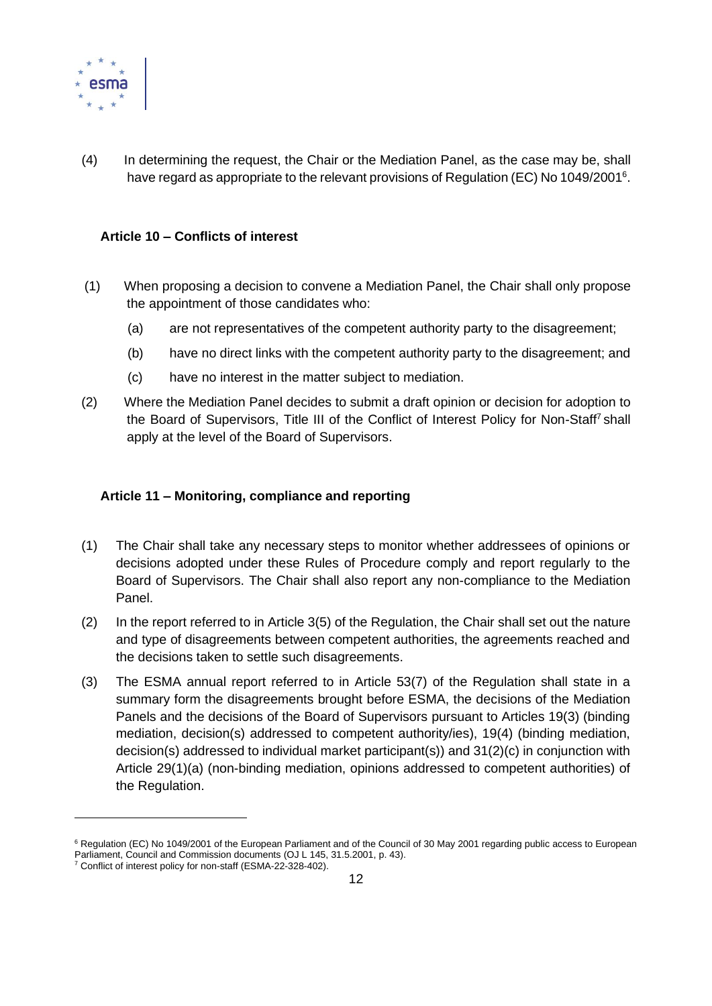

(4) In determining the request, the Chair or the Mediation Panel, as the case may be, shall have regard as appropriate to the relevant provisions of Regulation (EC) No 1049/2001<sup>6</sup>.

#### **Article 10 – Conflicts of interest**

- (1) When proposing a decision to convene a Mediation Panel, the Chair shall only propose the appointment of those candidates who:
	- (a) are not representatives of the competent authority party to the disagreement;
	- (b) have no direct links with the competent authority party to the disagreement; and
	- (c) have no interest in the matter subject to mediation.
- (2) Where the Mediation Panel decides to submit a draft opinion or decision for adoption to the Board of Supervisors, Title III of the Conflict of Interest Policy for Non-Staff<sup>7</sup> shall apply at the level of the Board of Supervisors.

#### **Article 11 – Monitoring, compliance and reporting**

- (1) The Chair shall take any necessary steps to monitor whether addressees of opinions or decisions adopted under these Rules of Procedure comply and report regularly to the Board of Supervisors. The Chair shall also report any non-compliance to the Mediation Panel.
- (2) In the report referred to in Article 3(5) of the Regulation, the Chair shall set out the nature and type of disagreements between competent authorities, the agreements reached and the decisions taken to settle such disagreements.
- (3) The ESMA annual report referred to in Article 53(7) of the Regulation shall state in a summary form the disagreements brought before ESMA, the decisions of the Mediation Panels and the decisions of the Board of Supervisors pursuant to Articles 19(3) (binding mediation, decision(s) addressed to competent authority/ies), 19(4) (binding mediation, decision(s) addressed to individual market participant(s)) and 31(2)(c) in conjunction with Article 29(1)(a) (non-binding mediation, opinions addressed to competent authorities) of the Regulation.

<sup>&</sup>lt;sup>6</sup> Regulation (EC) No 1049/2001 of the European Parliament and of the Council of 30 May 2001 regarding public access to European Parliament, Council and Commission documents (OJ L 145, 31.5.2001, p. 43).

<sup>7</sup> Conflict of interest policy for non-staff (ESMA-22-328-402).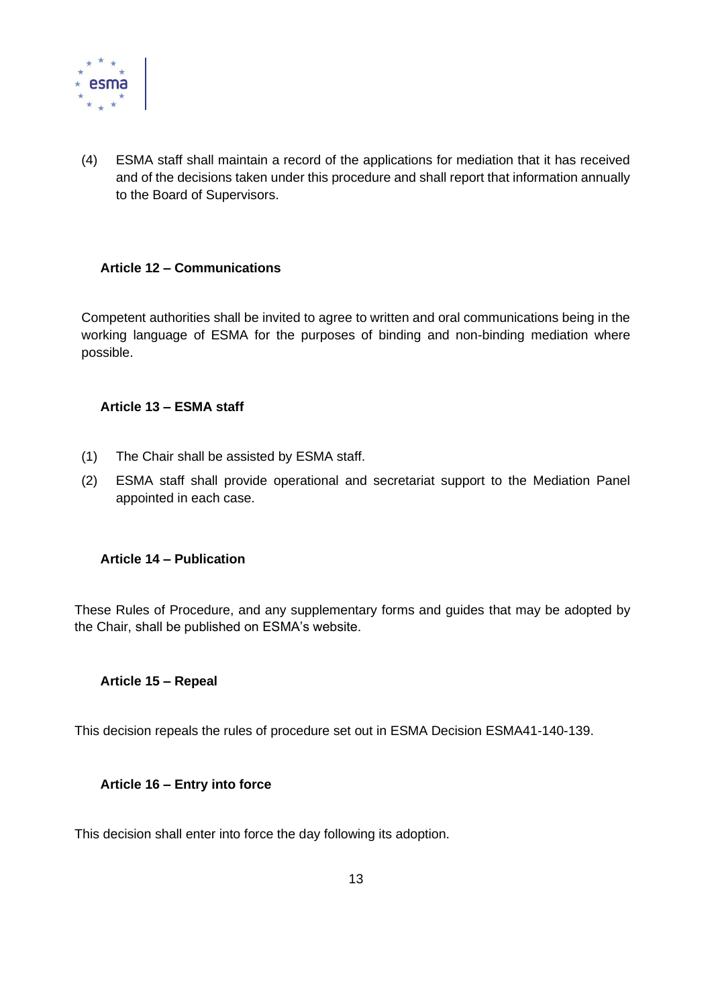

(4) ESMA staff shall maintain a record of the applications for mediation that it has received and of the decisions taken under this procedure and shall report that information annually to the Board of Supervisors.

### **Article 12 – Communications**

Competent authorities shall be invited to agree to written and oral communications being in the working language of ESMA for the purposes of binding and non-binding mediation where possible.

#### **Article 13 – ESMA staff**

- (1) The Chair shall be assisted by ESMA staff.
- (2) ESMA staff shall provide operational and secretariat support to the Mediation Panel appointed in each case.

#### **Article 14 – Publication**

These Rules of Procedure, and any supplementary forms and guides that may be adopted by the Chair, shall be published on ESMA's website.

#### **Article 15 – Repeal**

This decision repeals the rules of procedure set out in ESMA Decision ESMA41-140-139.

#### **Article 16 – Entry into force**

This decision shall enter into force the day following its adoption.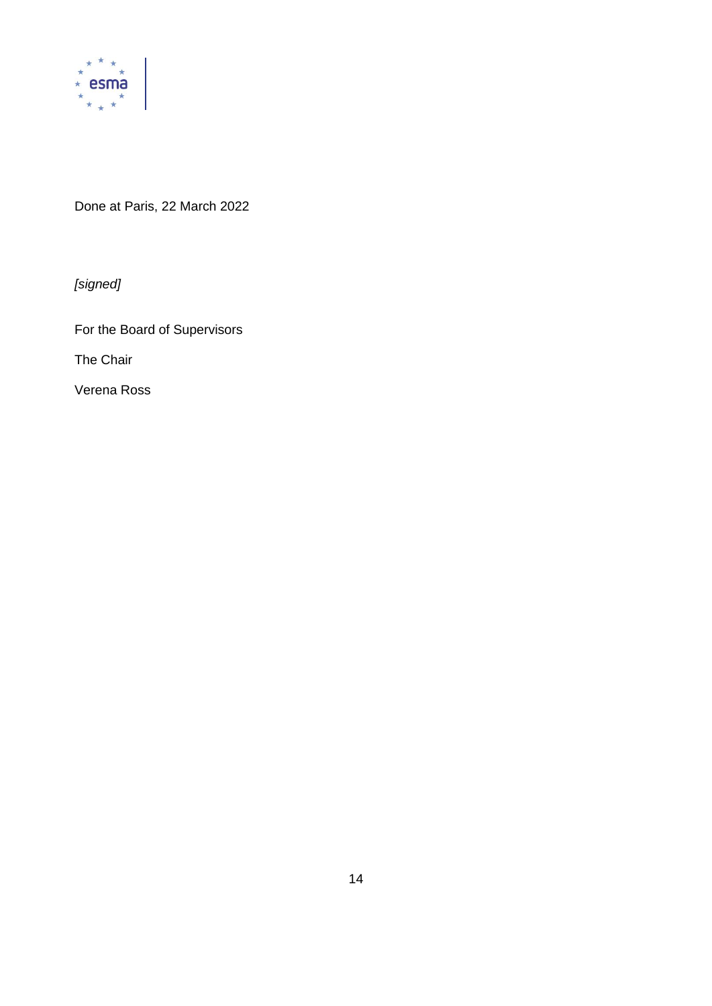

Done at Paris, 22 March 2022

*[signed]*

For the Board of Supervisors

The Chair

Verena Ross